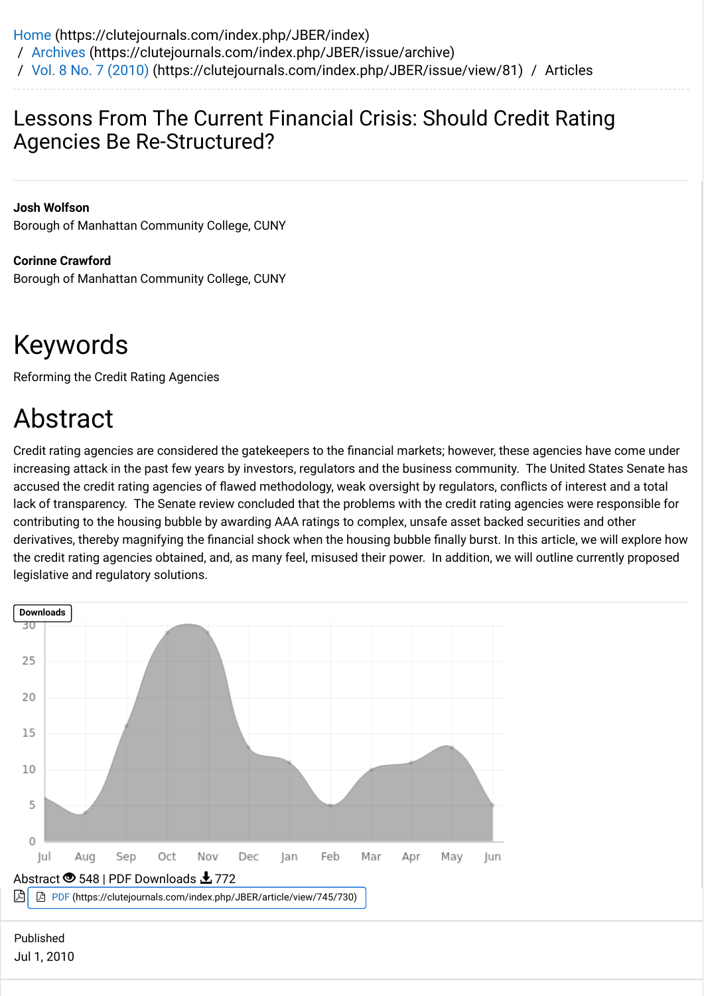## Lessons From The Current Financial Crisis: Should Credit Rating Agencies Be Re-Structured?

**Josh Wolfson** Borough of Manhattan Community College, CUNY

**Corinne Crawford** Borough of Manhattan Community College, CUNY

# Keywords

Reforming the Credit Rating Agencies

## Abstract

Credit rating agencies are considered the gatekeepers to the financial markets; however, these agencies have come under increasing attack in the past few years by investors, regulators and the business community. The United States Senate has accused the credit rating agencies of flawed methodology, weak oversight by regulators, conflicts of interest and a total lack of transparency. The Senate review concluded that the problems with the credit rating agencies were responsible for contributing to the housing bubble by awarding AAA ratings to complex, unsafe asset backed securities and other derivatives, thereby magnifying the financial shock when the housing bubble finally burst. In this article, we will explore how the credit rating agencies obtained, and, as many feel, misused their power. In addition, we will outline currently proposed legislative and regulatory solutions.

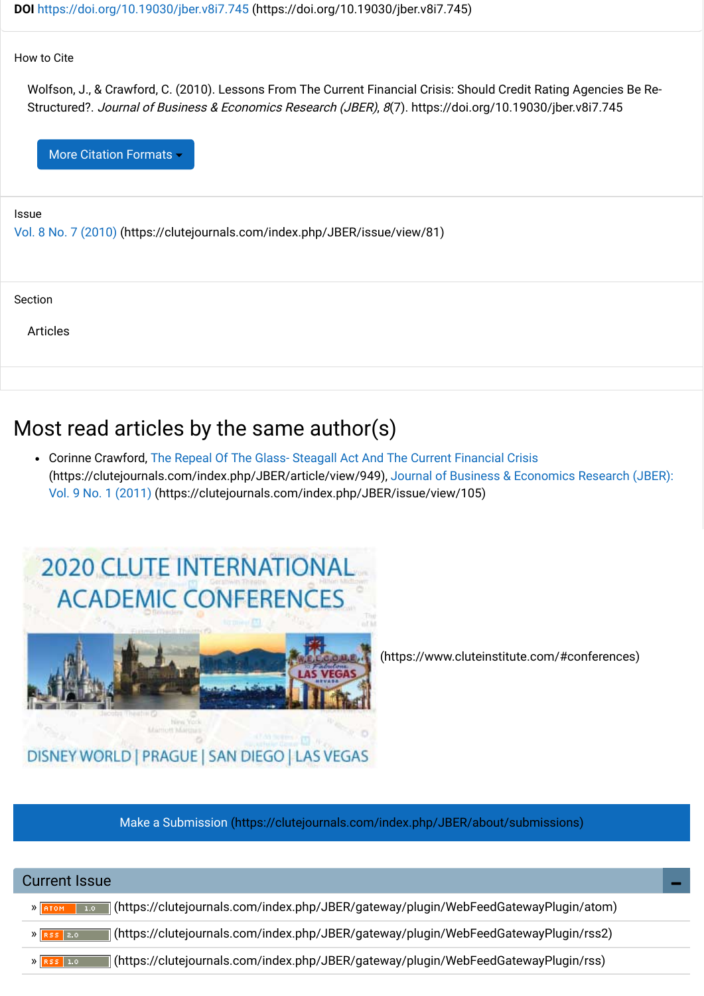### How to Cite

Wolfson, J., & Crawford, C. (2010). Lessons From The Current Financial Crisis: Should Credit Rating Agencies Be Re-Structured?. Journal of Business & Economics Research (JBER), 8(7). https://doi.org/10.19030/jber.v8i7.745

More Citation Formats

#### Issue

[Vol. 8 No. 7 \(2010\) \(https://clutejournals.com/index.php/JBER/issue/view/81\)](https://clutejournals.com/index.php/JBER/issue/view/81)

#### Section

Articles

## Most read articles by the same author(s)

[Corinne Crawford, The Repeal Of The Glass- Steagall Act And The Current Financial Crisis](https://clutejournals.com/index.php/JBER/article/view/949) [\(https://clutejournals.com/index.php/JBER/article/view/949\), Journal of Business & Economics Research \(JBER\):](https://clutejournals.com/index.php/JBER/issue/view/105) Vol. 9 No. 1 (2011) (https://clutejournals.com/index.php/JBER/issue/view/105)





 [\(https://www.cluteinstitute.com/#conferences\)](https://www.cluteinstitute.com/#conferences)

[Make a Submission \(https://clutejournals.com/index.php/JBER/about/submissions\)](https://clutejournals.com/index.php/JBER/about/submissions)

| <b>Current Issue</b>                                                                                             |  |
|------------------------------------------------------------------------------------------------------------------|--|
| [/https://clutejournals.com/index.php/JBER/gateway/plugin/WebFeedGatewayPlugin/atom<br> 1.0 <br>$\lambda$   ATOM |  |
| (https://clutejournals.com/index.php/JBER/gateway/plugin/WebFeedGatewayPlugin/rss2)<br>$\mathcal{Y}$ RSS 2.0     |  |
| (https://clutejournals.com/index.php/JBER/gateway/plugin/WebFeedGatewayPlugin/rss)<br>$\chi$ RSS 1.0             |  |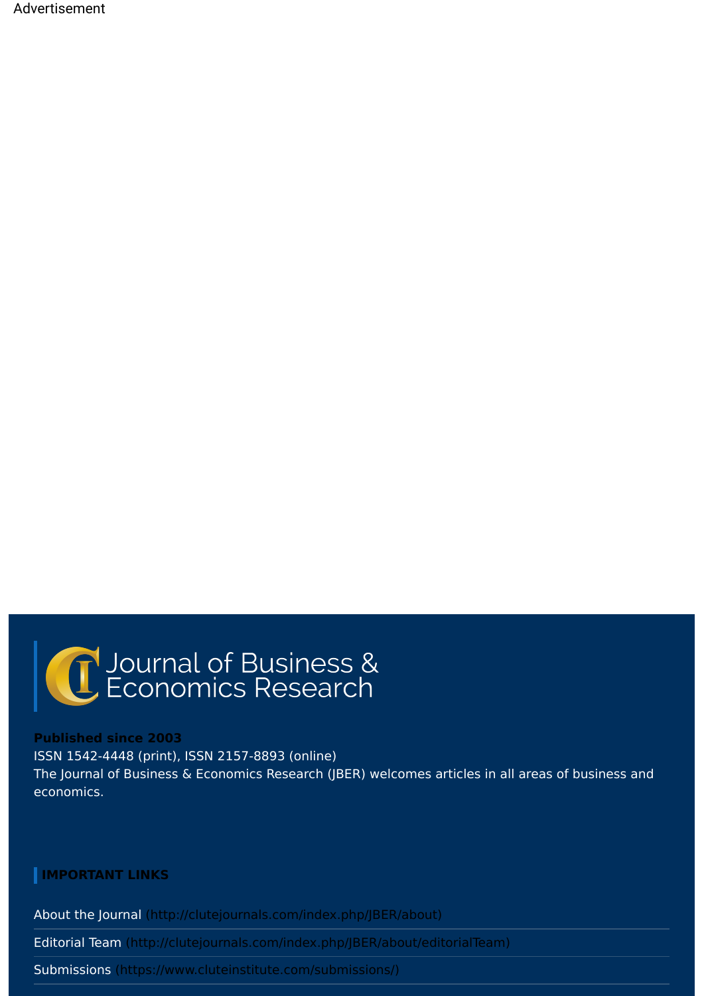Advertisement

# C Journal of Business &

#### **Published since 2003**

ISSN 1542-4448 (print), ISSN 2157-8893 (online) The Journal of Business & Economics Research (JBER) welcomes articles in all areas of business and economics.

## **IMPORTANT LINKS**

[About the Journal \(http://clutejournals.com/index.php/JBER/about\)](http://clutejournals.com/index.php/JBER/about)

[Editorial Team \(http://clutejournals.com/index.php/JBER/about/editorialTeam\)](http://clutejournals.com/index.php/JBER/about/editorialTeam)

[Submissions \(https://www.cluteinstitute.com/submissions/\)](https://www.cluteinstitute.com/submissions/)